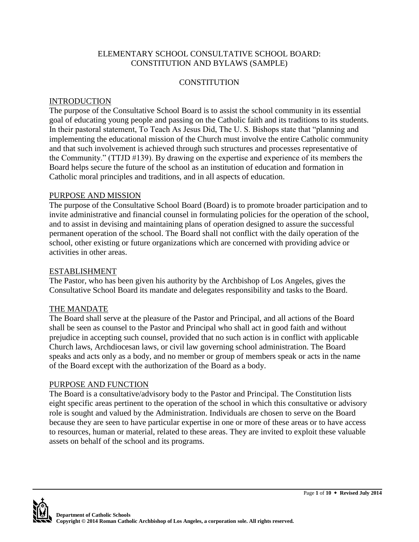## ELEMENTARY SCHOOL CONSULTATIVE SCHOOL BOARD: CONSTITUTION AND BYLAWS (SAMPLE)

# **CONSTITUTION**

# **INTRODUCTION**

The purpose of the Consultative School Board is to assist the school community in its essential goal of educating young people and passing on the Catholic faith and its traditions to its students. In their pastoral statement, To Teach As Jesus Did, The U. S. Bishops state that "planning and implementing the educational mission of the Church must involve the entire Catholic community and that such involvement is achieved through such structures and processes representative of the Community." (TTJD #139). By drawing on the expertise and experience of its members the Board helps secure the future of the school as an institution of education and formation in Catholic moral principles and traditions, and in all aspects of education.

### PURPOSE AND MISSION

The purpose of the Consultative School Board (Board) is to promote broader participation and to invite administrative and financial counsel in formulating policies for the operation of the school, and to assist in devising and maintaining plans of operation designed to assure the successful permanent operation of the school. The Board shall not conflict with the daily operation of the school, other existing or future organizations which are concerned with providing advice or activities in other areas.

#### ESTABLISHMENT

The Pastor, who has been given his authority by the Archbishop of Los Angeles, gives the Consultative School Board its mandate and delegates responsibility and tasks to the Board.

### THE MANDATE

The Board shall serve at the pleasure of the Pastor and Principal, and all actions of the Board shall be seen as counsel to the Pastor and Principal who shall act in good faith and without prejudice in accepting such counsel, provided that no such action is in conflict with applicable Church laws, Archdiocesan laws, or civil law governing school administration. The Board speaks and acts only as a body, and no member or group of members speak or acts in the name of the Board except with the authorization of the Board as a body.

### PURPOSE AND FUNCTION

The Board is a consultative/advisory body to the Pastor and Principal. The Constitution lists eight specific areas pertinent to the operation of the school in which this consultative or advisory role is sought and valued by the Administration. Individuals are chosen to serve on the Board because they are seen to have particular expertise in one or more of these areas or to have access to resources, human or material, related to these areas. They are invited to exploit these valuable assets on behalf of the school and its programs.

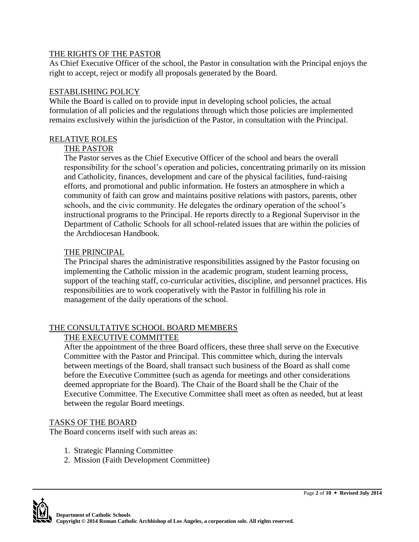## THE RIGHTS OF THE PASTOR

As Chief Executive Officer of the school, the Pastor in consultation with the Principal enjoys the right to accept, reject or modify all proposals generated by the Board.

# ESTABLISHING POLICY

While the Board is called on to provide input in developing school policies, the actual formulation of all policies and the regulations through which those policies are implemented remains exclusively within the jurisdiction of the Pastor, in consultation with the Principal.

# RELATIVE ROLES

# THE PASTOR

The Pastor serves as the Chief Executive Officer of the school and bears the overall responsibility for the school's operation and policies, concentrating primarily on its mission and Catholicity, finances, development and care of the physical facilities, fund-raising efforts, and promotional and public information. He fosters an atmosphere in which a community of faith can grow and maintains positive relations with pastors, parents, other schools, and the civic community. He delegates the ordinary operation of the school's instructional programs to the Principal. He reports directly to a Regional Supervisor in the Department of Catholic Schools for all school-related issues that are within the policies of the Archdiocesan Handbook.

# THE PRINCIPAL

The Principal shares the administrative responsibilities assigned by the Pastor focusing on implementing the Catholic mission in the academic program, student learning process, support of the teaching staff, co-curricular activities, discipline, and personnel practices. His responsibilities are to work cooperatively with the Pastor in fulfilling his role in management of the daily operations of the school.

# THE CONSULTATIVE SCHOOL BOARD MEMBERS

# THE EXECUTIVE COMMITTEE

After the appointment of the three Board officers, these three shall serve on the Executive Committee with the Pastor and Principal. This committee which, during the intervals between meetings of the Board, shall transact such business of the Board as shall come before the Executive Committee (such as agenda for meetings and other considerations deemed appropriate for the Board). The Chair of the Board shall be the Chair of the Executive Committee. The Executive Committee shall meet as often as needed, but at least between the regular Board meetings.

# TASKS OF THE BOARD

The Board concerns itself with such areas as:

- 1. Strategic Planning Committee
- 2. Mission (Faith Development Committee)

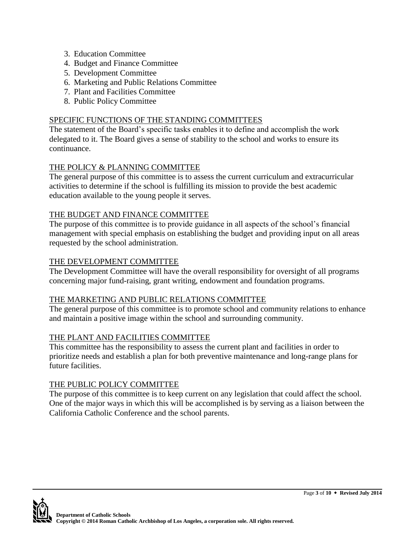- 3. Education Committee
- 4. Budget and Finance Committee
- 5. Development Committee
- 6. Marketing and Public Relations Committee
- 7. Plant and Facilities Committee
- 8. Public Policy Committee

## SPECIFIC FUNCTIONS OF THE STANDING COMMITTEES

The statement of the Board's specific tasks enables it to define and accomplish the work delegated to it. The Board gives a sense of stability to the school and works to ensure its continuance.

# THE POLICY & PLANNING COMMITTEE

The general purpose of this committee is to assess the current curriculum and extracurricular activities to determine if the school is fulfilling its mission to provide the best academic education available to the young people it serves.

# THE BUDGET AND FINANCE COMMITTEE

The purpose of this committee is to provide guidance in all aspects of the school's financial management with special emphasis on establishing the budget and providing input on all areas requested by the school administration.

# THE DEVELOPMENT COMMITTEE

The Development Committee will have the overall responsibility for oversight of all programs concerning major fund-raising, grant writing, endowment and foundation programs.

### THE MARKETING AND PUBLIC RELATIONS COMMITTEE

The general purpose of this committee is to promote school and community relations to enhance and maintain a positive image within the school and surrounding community.

### THE PLANT AND FACILITIES COMMITTEE

This committee has the responsibility to assess the current plant and facilities in order to prioritize needs and establish a plan for both preventive maintenance and long-range plans for future facilities.

### THE PUBLIC POLICY COMMITTEE

The purpose of this committee is to keep current on any legislation that could affect the school. One of the major ways in which this will be accomplished is by serving as a liaison between the California Catholic Conference and the school parents.

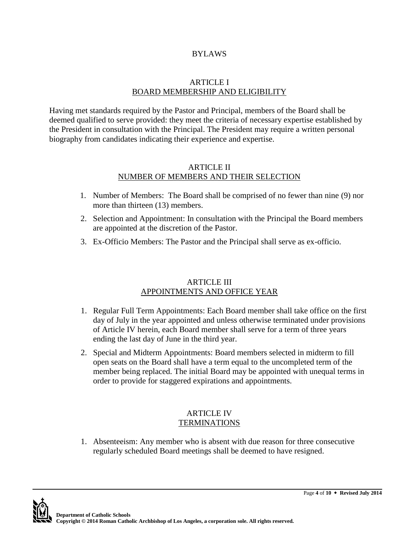#### BYLAWS

#### ARTICLE I BOARD MEMBERSHIP AND ELIGIBILITY

Having met standards required by the Pastor and Principal, members of the Board shall be deemed qualified to serve provided: they meet the criteria of necessary expertise established by the President in consultation with the Principal. The President may require a written personal biography from candidates indicating their experience and expertise.

#### ARTICLE II NUMBER OF MEMBERS AND THEIR SELECTION

- 1. Number of Members: The Board shall be comprised of no fewer than nine (9) nor more than thirteen (13) members.
- 2. Selection and Appointment: In consultation with the Principal the Board members are appointed at the discretion of the Pastor.
- 3. Ex-Officio Members: The Pastor and the Principal shall serve as ex-officio.

### ARTICLE III APPOINTMENTS AND OFFICE YEAR

- 1. Regular Full Term Appointments: Each Board member shall take office on the first day of July in the year appointed and unless otherwise terminated under provisions of Article IV herein, each Board member shall serve for a term of three years ending the last day of June in the third year.
- 2. Special and Midterm Appointments: Board members selected in midterm to fill open seats on the Board shall have a term equal to the uncompleted term of the member being replaced. The initial Board may be appointed with unequal terms in order to provide for staggered expirations and appointments.

#### ARTICLE IV **TERMINATIONS**

1. Absenteeism: Any member who is absent with due reason for three consecutive regularly scheduled Board meetings shall be deemed to have resigned.

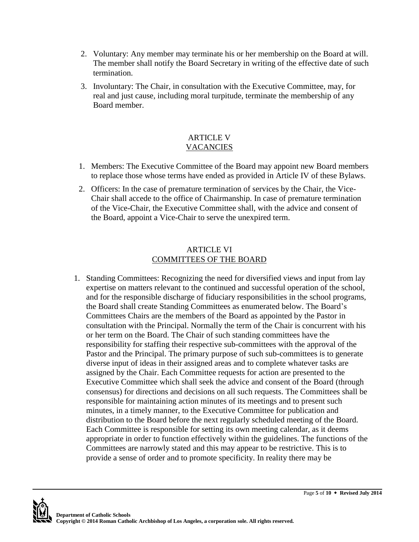- 2. Voluntary: Any member may terminate his or her membership on the Board at will. The member shall notify the Board Secretary in writing of the effective date of such termination.
- 3. Involuntary: The Chair, in consultation with the Executive Committee, may, for real and just cause, including moral turpitude, terminate the membership of any Board member.

# ARTICLE V VACANCIES

- 1. Members: The Executive Committee of the Board may appoint new Board members to replace those whose terms have ended as provided in Article IV of these Bylaws.
- 2. Officers: In the case of premature termination of services by the Chair, the Vice-Chair shall accede to the office of Chairmanship. In case of premature termination of the Vice-Chair, the Executive Committee shall, with the advice and consent of the Board, appoint a Vice-Chair to serve the unexpired term.

## ARTICLE VI COMMITTEES OF THE BOARD

1. Standing Committees: Recognizing the need for diversified views and input from lay expertise on matters relevant to the continued and successful operation of the school, and for the responsible discharge of fiduciary responsibilities in the school programs, the Board shall create Standing Committees as enumerated below. The Board's Committees Chairs are the members of the Board as appointed by the Pastor in consultation with the Principal. Normally the term of the Chair is concurrent with his or her term on the Board. The Chair of such standing committees have the responsibility for staffing their respective sub-committees with the approval of the Pastor and the Principal. The primary purpose of such sub-committees is to generate diverse input of ideas in their assigned areas and to complete whatever tasks are assigned by the Chair. Each Committee requests for action are presented to the Executive Committee which shall seek the advice and consent of the Board (through consensus) for directions and decisions on all such requests. The Committees shall be responsible for maintaining action minutes of its meetings and to present such minutes, in a timely manner, to the Executive Committee for publication and distribution to the Board before the next regularly scheduled meeting of the Board. Each Committee is responsible for setting its own meeting calendar, as it deems appropriate in order to function effectively within the guidelines. The functions of the Committees are narrowly stated and this may appear to be restrictive. This is to provide a sense of order and to promote specificity. In reality there may be

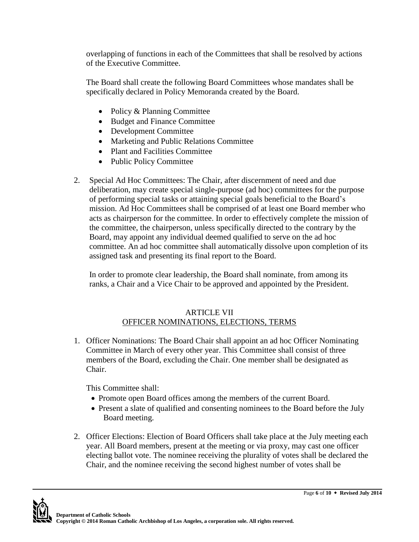overlapping of functions in each of the Committees that shall be resolved by actions of the Executive Committee.

The Board shall create the following Board Committees whose mandates shall be specifically declared in Policy Memoranda created by the Board.

- Policy & Planning Committee
- Budget and Finance Committee
- Development Committee
- Marketing and Public Relations Committee
- Plant and Facilities Committee
- Public Policy Committee
- 2. Special Ad Hoc Committees: The Chair, after discernment of need and due deliberation, may create special single-purpose (ad hoc) committees for the purpose of performing special tasks or attaining special goals beneficial to the Board's mission. Ad Hoc Committees shall be comprised of at least one Board member who acts as chairperson for the committee. In order to effectively complete the mission of the committee, the chairperson, unless specifically directed to the contrary by the Board, may appoint any individual deemed qualified to serve on the ad hoc committee. An ad hoc committee shall automatically dissolve upon completion of its assigned task and presenting its final report to the Board.

In order to promote clear leadership, the Board shall nominate, from among its ranks, a Chair and a Vice Chair to be approved and appointed by the President.

# ARTICLE VII OFFICER NOMINATIONS, ELECTIONS, TERMS

1. Officer Nominations: The Board Chair shall appoint an ad hoc Officer Nominating Committee in March of every other year. This Committee shall consist of three members of the Board, excluding the Chair. One member shall be designated as Chair.

This Committee shall:

- Promote open Board offices among the members of the current Board.
- Present a slate of qualified and consenting nominees to the Board before the July Board meeting.
- 2. Officer Elections: Election of Board Officers shall take place at the July meeting each year. All Board members, present at the meeting or via proxy, may cast one officer electing ballot vote. The nominee receiving the plurality of votes shall be declared the Chair, and the nominee receiving the second highest number of votes shall be

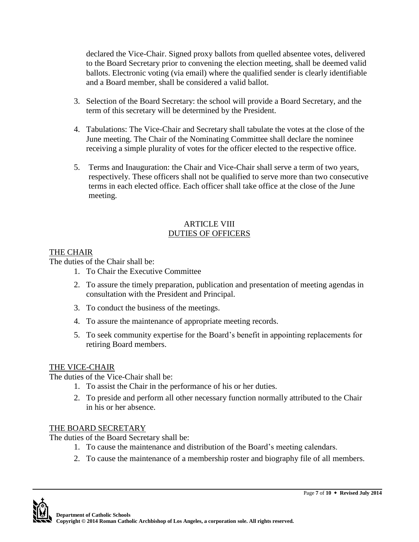declared the Vice-Chair. Signed proxy ballots from quelled absentee votes, delivered to the Board Secretary prior to convening the election meeting, shall be deemed valid ballots. Electronic voting (via email) where the qualified sender is clearly identifiable and a Board member, shall be considered a valid ballot.

- 3. Selection of the Board Secretary: the school will provide a Board Secretary, and the term of this secretary will be determined by the President.
- 4. Tabulations: The Vice-Chair and Secretary shall tabulate the votes at the close of the June meeting. The Chair of the Nominating Committee shall declare the nominee receiving a simple plurality of votes for the officer elected to the respective office.
- 5. Terms and Inauguration: the Chair and Vice-Chair shall serve a term of two years, respectively. These officers shall not be qualified to serve more than two consecutive terms in each elected office. Each officer shall take office at the close of the June meeting.

# ARTICLE VIII DUTIES OF OFFICERS

# THE CHAIR

The duties of the Chair shall be:

- 1. To Chair the Executive Committee
- 2. To assure the timely preparation, publication and presentation of meeting agendas in consultation with the President and Principal.
- 3. To conduct the business of the meetings.
- 4. To assure the maintenance of appropriate meeting records.
- 5. To seek community expertise for the Board's benefit in appointing replacements for retiring Board members.

# THE VICE-CHAIR

The duties of the Vice-Chair shall be:

- 1. To assist the Chair in the performance of his or her duties.
- 2. To preside and perform all other necessary function normally attributed to the Chair in his or her absence.

# THE BOARD SECRETARY

The duties of the Board Secretary shall be:

- 1. To cause the maintenance and distribution of the Board's meeting calendars.
- 2. To cause the maintenance of a membership roster and biography file of all members.

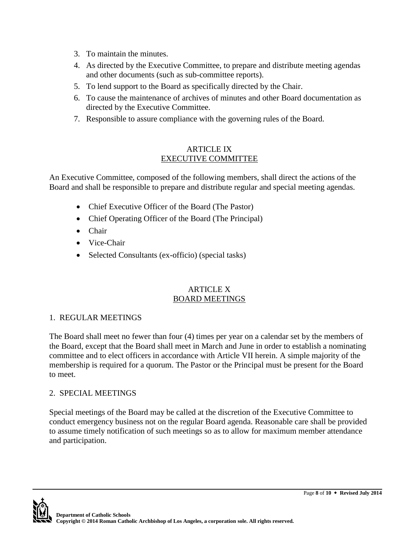- 3. To maintain the minutes.
- 4. As directed by the Executive Committee, to prepare and distribute meeting agendas and other documents (such as sub-committee reports).
- 5. To lend support to the Board as specifically directed by the Chair.
- 6. To cause the maintenance of archives of minutes and other Board documentation as directed by the Executive Committee.
- 7. Responsible to assure compliance with the governing rules of the Board.

## ARTICLE IX EXECUTIVE COMMITTEE

An Executive Committee, composed of the following members, shall direct the actions of the Board and shall be responsible to prepare and distribute regular and special meeting agendas.

- Chief Executive Officer of the Board (The Pastor)
- Chief Operating Officer of the Board (The Principal)
- Chair
- Vice-Chair
- Selected Consultants (ex-officio) (special tasks)

### ARTICLE X BOARD MEETINGS

# 1. REGULAR MEETINGS

The Board shall meet no fewer than four (4) times per year on a calendar set by the members of the Board, except that the Board shall meet in March and June in order to establish a nominating committee and to elect officers in accordance with Article VII herein. A simple majority of the membership is required for a quorum. The Pastor or the Principal must be present for the Board to meet.

# 2. SPECIAL MEETINGS

Special meetings of the Board may be called at the discretion of the Executive Committee to conduct emergency business not on the regular Board agenda. Reasonable care shall be provided to assume timely notification of such meetings so as to allow for maximum member attendance and participation.

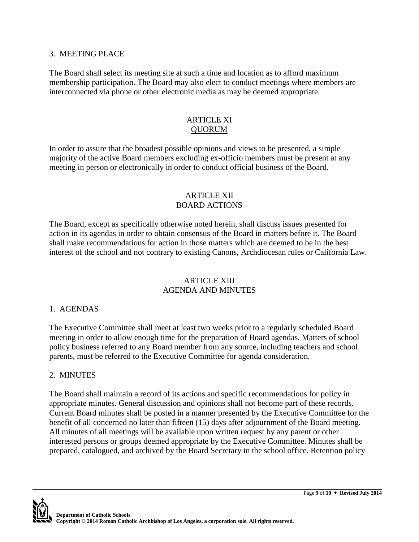#### 3. MEETING PLACE

The Board shall select its meeting site at such a time and location as to afford maximum membership participation. The Board may also elect to conduct meetings where members are interconnected via phone or other electronic media as may be deemed appropriate.

### ARTICLE XI **OUORUM**

In order to assure that the broadest possible opinions and views to be presented, a simple majority of the active Board members excluding ex-officio members must be present at any meeting in person or electronically in order to conduct official business of the Board.

#### ARTICLE XII BOARD ACTIONS

The Board, except as specifically otherwise noted herein, shall discuss issues presented for action in its agendas in order to obtain consensus of the Board in matters before it. The Board shall make recommendations for action in those matters which are deemed to be in the best interest of the school and not contrary to existing Canons, Archdiocesan rules or California Law.

### ARTICLE XIII AGENDA AND MINUTES

### 1. AGENDAS

The Executive Committee shall meet at least two weeks prior to a regularly scheduled Board meeting in order to allow enough time for the preparation of Board agendas. Matters of school policy business referred to any Board member from any source, including teachers and school parents, must be referred to the Executive Committee for agenda consideration.

### 2. MINUTES

The Board shall maintain a record of its actions and specific recommendations for policy in appropriate minutes. General discussion and opinions shall not become part of these records. Current Board minutes shall be posted in a manner presented by the Executive Committee for the benefit of all concerned no later than fifteen (15) days after adjournment of the Board meeting. All minutes of all meetings will be available upon written request by any parent or other interested persons or groups deemed appropriate by the Executive Committee. Minutes shall be prepared, catalogued, and archived by the Board Secretary in the school office. Retention policy